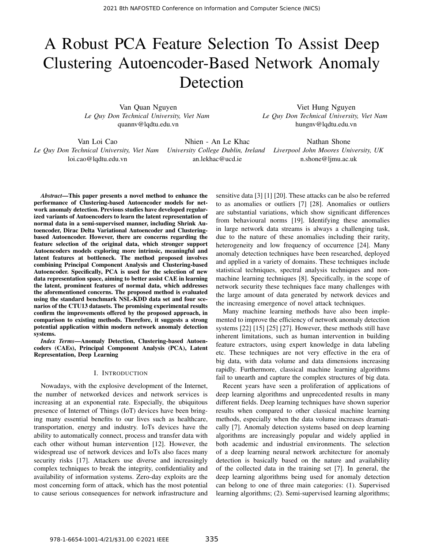# A Robust PCA Feature Selection To Assist Deep Clustering Autoencoder-Based Network Anomaly Detection

Van Quan Nguyen *Le Quy Don Technical University, Viet Nam* quannv@lqdtu.edu.vn

Viet Hung Nguyen *Le Quy Don Technical University, Viet Nam* hungnv@lqdtu.edu.vn

Van Loi Cao *Le Quy Don Technical University, Viet Nam* loi.cao@lqdtu.edu.vn

Nhien - An Le Khac an.lekhac@ucd.ie

*University College Dublin, Ireland Liverpool John Moores University, UK* Nathan Shone n.shone@ljmu.ac.uk

*Abstract*—This paper presents a novel method to enhance the performance of Clustering-based Autoencoder models for network anomaly detection. Previous studies have developed regularized variants of Autoencoders to learn the latent representation of normal data in a semi-supervised manner, including Shrink Autoencoder, Dirac Delta Variational Autoencoder and Clusteringbased Autoencoder. However, there are concerns regarding the feature selection of the original data, which stronger support Autoencoders models exploring more intrinsic, meaningful and latent features at bottleneck. The method proposed involves combining Principal Component Analysis and Clustering-based Autoencoder. Specifically, PCA is used for the selection of new data representation space, aiming to better assist CAE in learning the latent, prominent features of normal data, which addresses the aforementioned concerns. The proposed method is evaluated using the standard benchmark NSL-KDD data set and four scenarios of the CTU13 datasets. The promising experimental results confirm the improvements offered by the proposed approach, in comparison to existing methods. Therefore, it suggests a strong potential application within modern network anomaly detection systems.

*Index Terms*—Anomaly Detection, Clustering-based Autoencoders (CAEs), Principal Component Analysis (PCA), Latent Representation, Deep Learning

## I. INTRODUCTION

Nowadays, with the explosive development of the Internet, the number of networked devices and network services is increasing at an exponential rate. Especially, the ubiquitous presence of Internet of Things (IoT) devices have been bringing many essential benefits to our lives such as healthcare, transportation, energy and industry. IoTs devices have the ability to automatically connect, process and transfer data with each other without human intervention [12]. However, the widespread use of network devices and IoTs also faces many security risks [17]. Attackers use diverse and increasingly complex techniques to break the integrity, confidentiality and availability of information systems. Zero-day exploits are the most concerning form of attack, which has the most potential to cause serious consequences for network infrastructure and

sensitive data [3] [1] [20]. These attacks can be also be referred to as anomalies or outliers [7] [28]. Anomalies or outliers are substantial variations, which show significant differences from behavioural norms [19]. Identifying these anomalies in large network data streams is always a challenging task, due to the nature of these anomalies including their rarity, heterogeneity and low frequency of occurrence [24]. Many anomaly detection techniques have been researched, deployed and applied in a variety of domains. These techniques include statistical techniques, spectral analysis techniques and nonmachine learning techniques [8]. Specifically, in the scope of network security these techniques face many challenges with the large amount of data generated by network devices and the increasing emergence of novel attack techniques.

Many machine learning methods have also been implemented to improve the efficiency of network anomaly detection systems [22] [15] [25] [27]. However, these methods still have inherent limitations, such as human intervention in building feature extractors, using expert knowledge in data labeling etc. These techniques are not very effective in the era of big data, with data volume and data dimensions increasing rapidly. Furthermore, classical machine learning algorithms fail to unearth and capture the complex structures of big data.

Recent years have seen a proliferation of applications of deep learning algorithms and unprecedented results in many different fields. Deep learning techniques have shown superior results when compared to other classical machine learning methods, especially when the data volume increases dramatically [7]. Anomaly detection systems based on deep learning algorithms are increasingly popular and widely applied in both academic and industrial environments. The selection of a deep learning neural network architecture for anomaly detection is basically based on the nature and availability of the collected data in the training set [7]. In general, the deep learning algorithms being used for anomaly detection can belong to one of three main categories: (1). Supervised learning algorithms; (2). Semi-supervised learning algorithms;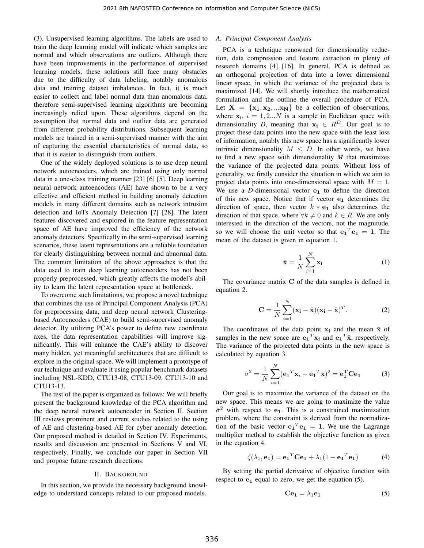(3). Unsupervised learning algorithms. The labels are used to train the deep learning model will indicate which samples are normal and which observations are outliers. Although there have been improvements in the performance of supervised learning models, these solutions still face many obstacles due to the difficulty of data labeling, notably anomalous data and training dataset imbalances. In fact, it is much easier to collect and label normal data than anomalous data, therefore semi-supervised learning algorithms are becoming increasingly relied upon. These algorithms depend on the assumption that normal data and outlier data are generated from different probability distributions. Subsequent learning models are trained in a semi-supervised manner with the aim of capturing the essential characteristics of normal data, so that it is easier to distinguish from outliers.

One of the widely deployed solutions is to use deep neural network autoencoders, which are trained using only normal data in a one-class training manner [23] [6] [5]. Deep learning neural network autoencoders (AE) have shown to be a very effective and efficient method in building anomaly detection models in many different domains such as network intrusion detection and IoTs Anomaly Detection [7] [28]. The latent features discovered and explored in the feature representation space of AE have improved the efficiency of the network anomaly detectors. Specifically in the semi-supervised learning scenarios, these latent representations are a reliable foundation for clearly distinguishing between normal and abnormal data. The common limitation of the above approaches is that the data used to train deep learning autoencoders has not been properly preprocessed, which greatly affects the model's ability to learn the latent representation space at bottleneck.

To overcome such limitations, we propose a novel technique that combines the use of Principal Component Analysis (PCA) for preprocessing data, and deep neural network Clusteringbased Autoencoders (CAE) to build semi-supervised anomaly detector. By utilizing PCA's power to define new coordinate axes, the data representation capabilities will improve significantly. This will enhance the CAE's ability to discover many hidden, yet meaningful architectures that are difficult to explore in the original space. We will implement a prototype of our technique and evaluate it using popular benchmark datasets including NSL-KDD, CTU13-08, CTU13-09, CTU13-10 and CTU13-13.

The rest of the paper is organized as follows: We will briefly present the background knowledge of the PCA algorithm and the deep neural network autoencoder in Section II. Section III reviews prominent and current studies related to the using of AE and clustering-based AE for cyber anomaly detection. Our proposed method is detailed in Section IV. Experiments, results and discussion are presented in Sections V and VI, respectively. Finally, we conclude our paper in Section VII and propose future research directions.

#### II. BACKGROUND

In this section, we provide the necessary background knowledge to understand concepts related to our proposed models.

# *A. Principal Component Analysis*

PCA is a technique renowned for dimensionality reduction, data compression and feature extraction in plenty of research domains [4] [16]. In general, PCA is defined as an orthogonal projection of data into a lower dimensional linear space, in which the variance of the projected data is maximized [14]. We will shortly introduce the mathematical formulation and the outline the overall procedure of PCA. Let  $X = \{x_1, x_2, ... x_N\}$  be a collection of observations, where  $x_i$ ,  $i = 1, 2...N$  is a sample in Euclidean space with dimensionality *D*, meaning that  $x_i \in R^D$ . Our goal is to project these data points into the new space with the least loss of information, notably this new space has a significantly lower intrinsic dimensionality  $M \leq D$ . In other words, we have to find a new space with dimensionality *M* that maximizes the variance of the projected data points. Without loss of generality, we firstly consider the situation in which we aim to project data points into one-dimensional space with  $M = 1$ . We use a  $D$ -dimensional vector  $e_1$  to define the direction of this new space. Notice that if vector  $e_1$  determines the direction of space, then vector  $k \times e_1$  also determines the direction of that space, where  $\forall k \neq 0$  and  $k \in R$ . We are only interested in the direction of the vectors, not the magnitude, so we will choose the unit vector so that  $\mathbf{e_1}^T \mathbf{e_1} = 1$ . The mean of the dataset is given in equation 1.

$$
\bar{\mathbf{x}} = \frac{1}{N} \sum_{i=1}^{N} \mathbf{x_i}
$$
 (1)

The covariance matrix C of the data samples is defined in equation 2.

$$
\mathbf{C} = \frac{1}{N} \sum_{i=1}^{N} (\mathbf{x}_i - \bar{\mathbf{x}}) (\mathbf{x}_i - \bar{\mathbf{x}})^T.
$$
 (2)

The coordinates of the data point  $x_i$  and the mean  $\bar{x}$  of samples in the new space are  $\mathbf{e_1}^T \mathbf{x_i}$  and  $\mathbf{e_1}^T \bar{\mathbf{x}}$ , respectively. The variance of the projected data points in the new space is calculated by equation 3.

$$
\bar{\sigma}^2 = \frac{1}{N} \sum_{i=1}^{N} (\mathbf{e}_1^T \mathbf{x}_i - \mathbf{e}_1^T \bar{\mathbf{x}})^2 = \mathbf{e}_1^T \mathbf{C} \mathbf{e}_1
$$
 (3)

Our goal is to maximize the variance of the dataset on the new space. This means we are going to maximize the value  $\bar{\sigma}^2$  with respect to e<sub>1</sub>. This is a constrained maximization problem, where the constraint is derived from the normalization of the basic vector  $\mathbf{e_1}^T \mathbf{e_1} = 1$ . We use the Lagrange multiplier method to establish the objective function as given in the equation 4.

$$
\zeta(\lambda_1, \mathbf{e_1}) = \mathbf{e_1}^T \mathbf{C} \mathbf{e_1} + \lambda_1 (1 - \mathbf{e_1}^T \mathbf{e_1}) \tag{4}
$$

By setting the partial derivative of objective function with respect to  $e_1$  equal to zero, we get the equation (5).

$$
Ce_1 = \lambda_1 e_1 \tag{5}
$$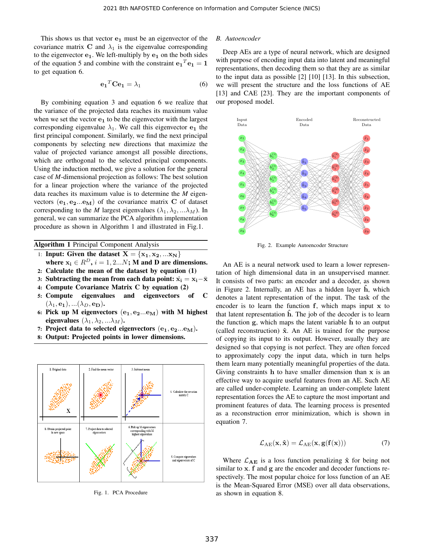This shows us that vector  $e_1$  must be an eigenvector of the covariance matrix C and  $\lambda_1$  is the eigenvalue corresponding to the eigenvector  $e_1$ . We left-multiply by  $e_1$  on the both sides of the equation 5 and combine with the constraint  $\mathbf{e_1}^T \mathbf{e_1} = \mathbf{1}$ to get equation 6.

$$
\mathbf{e_1}^T \mathbf{C} \mathbf{e_1} = \lambda_1 \tag{6}
$$

By combining equation 3 and equation 6 we realize that the variance of the projected data reaches its maximum value when we set the vector  $e_1$  to be the eigenvector with the largest corresponding eigenvalue  $\lambda_1$ . We call this eigenvector  $e_1$  the first principal component. Similarly, we find the next principal components by selecting new directions that maximize the value of projected variance amongst all possible directions, which are orthogonal to the selected principal components. Using the induction method, we give a solution for the general case of *M*-dimensional projection as follows: The best solution for a linear projection where the variance of the projected data reaches its maximum value is to determine the *M* eigenvectors  $(e_1, e_2...e_M)$  of the covariance matrix C of dataset corresponding to the *M* largest eigenvalues ( $\lambda_1, \lambda_2, \ldots, \lambda_M$ ). In general, we can summarize the PCA algorithm implementation procedure as shown in Algorithm 1 and illustrated in Fig.1.

|  |  | <b>Algorithm 1 Principal Component Analysis</b> |  |
|--|--|-------------------------------------------------|--|
|--|--|-------------------------------------------------|--|

- 1: Input: Given the dataset  $X = \{x_1, x_2, ... x_N\}$
- where  $x_i \in R^D$ ,  $i = 1, 2...N$ ; M and D are dimensions.
- 2: Calculate the mean of the dataset by equation (1)
- 3: Subtracting the mean from each data point:  $\hat{x_i} = x_i \bar{x}$
- 4: Compute Covariance Matrix C by equation (2)
- 5: Compute eigenvalues and eigenvectors of C  $(\lambda_1, \mathbf{e_1}), \dots (\lambda_D, \mathbf{e_D}).$
- 6: Pick up M eigenvectors  $(e_1, e_2...e_M)$  with M highest eigenvalues  $(\lambda_1, \lambda_2, ... \lambda_M)$ .
- 7: Project data to selected eigenvectors  $(e_1, e_2...e_M)$ .
- 8: Output: Projected points in lower dimensions.



Fig. 1. PCA Procedure

# *B. Autoencoder*

Deep AEs are a type of neural network, which are designed with purpose of encoding input data into latent and meaningful representations, then decoding them so that they are as similar to the input data as possible [2] [10] [13]. In this subsection, we will present the structure and the loss functions of AE [13] and CAE [23]. They are the important components of our proposed model.



Fig. 2. Example Autoencoder Structure

An AE is a neural network used to learn a lower representation of high dimensional data in an unsupervised manner. It consists of two parts: an encoder and a decoder, as shown in Figure 2. Internally, an AE has a hidden layer  $\hat{h}$ , which denotes a latent representation of the input. The task of the encoder is to learn the function  $f$ , which maps input  $x$  to that latent representation h. The job of the decoder is to learn the function  $g$ , which maps the latent variable  $\hat{h}$  to an output (called reconstruction)  $\hat{x}$ . An AE is trained for the purpose of copying its input to its output. However, usually they are designed so that copying is not perfect. They are often forced to approximately copy the input data, which in turn helps them learn many potentially meaningful properties of the data. Giving constraints  $h$  to have smaller dimension than  $x$  is an effective way to acquire useful features from an AE. Such AE are called under-complete. Learning an under-complete latent representation forces the AE to capture the most important and prominent features of data. The learning process is presented as a reconstruction error minimization, which is shown in equation 7.

$$
\mathcal{L}_{AE}(\mathbf{x}, \hat{\mathbf{x}}) = \mathcal{L}_{AE}(\mathbf{x}, \mathbf{g}(\mathbf{f}(\mathbf{x})))
$$
(7)

Where  $\mathcal{L}_{AE}$  is a loss function penalizing  $\hat{x}$  for being not similar to x. f and g are the encoder and decoder functions respectively. The most popular choice for loss function of an AE is the Mean-Squared Error (MSE) over all data observations, as shown in equation 8.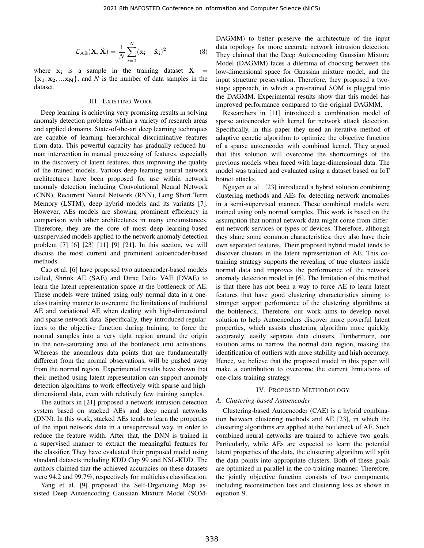$$
\mathcal{L}_{AE}(\mathbf{X}, \hat{\mathbf{X}}) = \frac{1}{N} \sum_{i=0}^{N} (\mathbf{x}_i - \hat{\mathbf{x}}_i)^2
$$
 (8)

where  $x_i$  is a sample in the training dataset  $X =$  ${x_1, x_2, ... x_N}$ , and *N* is the number of data samples in the dataset.

## III. EXISTING WORK

Deep learning is achieving very promising results in solving anomaly detection problems within a variety of research areas and applied domains. State-of-the-art deep learning techniques are capable of learning hierarchical discriminative features from data. This powerful capacity has gradually reduced human intervention in manual processing of features, especially in the discovery of latent features, thus improving the quality of the trained models. Various deep learning neural network architectures have been proposed for use within network anomaly detection including Convolutional Neural Network (CNN), Recurrent Neural Network (RNN), Long Short Term Memory (LSTM), deep hybrid models and its variants [7]. However, AEs models are showing prominent efficiency in comparison with other architectures in many circumstances. Therefore, they are the core of most deep learning-based unsupervised models applied to the network anomaly detection problem [7] [6] [23] [11] [9] [21]. In this section, we will discuss the most current and prominent autoencoder-based methods.

Cao et al. [6] have proposed two autoencoder-based models called, Shrink AE (SAE) and Dirac Delta VAE (DVAE) to learn the latent representation space at the bottleneck of AE. These models were trained using only normal data in a oneclass training manner to overcome the limitations of traditional AE and variational AE when dealing with high-dimensional and sparse network data. Specifically, they introduced regularizers to the objective function during training, to force the normal samples into a very tight region around the origin in the non-saturating area of the bottleneck unit activations. Whereas the anomalous data points that are fundamentally different from the normal observations, will be pushed away from the normal region. Experimental results have shown that their method using latent representation can support anomaly detection algorithms to work effectively with sparse and highdimensional data, even with relatively few training samples.

The authors in [21] proposed a network intrusion detection system based on stacked AEs and deep neural networks (DNN). In this work, stacked AEs tends to learn the properties of the input network data in a unsupervised way, in order to reduce the feature width. After that, the DNN is trained in a supervised manner to extract the meaningful features for the classifier. They have evaluated their proposed model using standard datasets including KDD Cup 99 and NSL-KDD. The authors claimed that the achieved accuracies on these datasets were 94.2 and 99.7%, respectively for multiclass classification.

Yang et al. [9] proposed the Self-Organizing Map assisted Deep Autoencoding Gaussian Mixture Model (SOM- DAGMM) to better preserve the architecture of the input data topology for more accurate network intrusion detection. They claimed that the Deep Autoencoding Gaussian Mixture Model (DAGMM) faces a dilemma of choosing between the low-dimensional space for Gaussian mixture model, and the input structure preservation. Therefore, they proposed a twostage approach, in which a pre-trained SOM is plugged into the DAGMM. Experimental results show that this model has improved performance compared to the original DAGMM.

Researchers in [11] introduced a combination model of sparse autoencoder with kernel for network attack detection. Specifically, in this paper they used an iterative method of adaptive genetic algorithm to optimize the objective function of a sparse autoencoder with combined kernel. They argued that this solution will overcome the shortcomings of the previous models when faced with large-dimensional data. The model was trained and evaluated using a dataset based on IoT botnet attacks.

Nguyen et al . [23] introduced a hybrid solution combining clustering methods and AEs for detecting network anomalies in a semi-supervised manner. These combined models were trained using only normal samples. This work is based on the assumption that normal network data might come from different network services or types of devices. Therefore, although they share some common characteristics, they also have their own separated features. Their proposed hybrid model tends to discover clusters in the latent representation of AE. This cotraining strategy supports the revealing of true clusters inside normal data and improves the performance of the network anomaly detection model in [6]. The limitation of this method is that there has not been a way to force AE to learn latent features that have good clustering characteristics aiming to stronger support performance of the clustering algorithms at the bottleneck. Therefore, our work aims to develop novel solution to help Autoencoders discover more powerful latent properties, which assists clustering algorithm more quickly, accurately, easily separate data clusters. Furthermore, our solution aims to narrow the normal data region, making the identification of outliers with more stability and high accuracy. Hence, we believe that the proposed model in this paper will make a contribution to overcome the current limitations of one-class training strategy.

#### IV. PROPOSED METHODOLOGY

## *A. Clustering-based Autoencoder*

Clustering-based Autoencoder (CAE) is a hybrid combination between clustering methods and AE [23], in which the clustering algorithms are applied at the bottleneck of AE. Such combined neural networks are trained to achieve two goals. Particularly, while AEs are expected to learn the potential latent properties of the data, the clustering algorithm will split the data points into appropriate clusters. Both of these goals are optimized in parallel in the co-training manner. Therefore, the jointly objective function consists of two components, including reconstruction loss and clustering loss as shown in equation 9.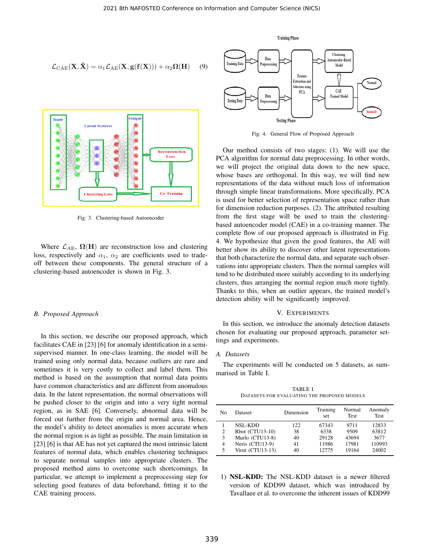$$
\mathcal{L}_{\text{CAE}}(\mathbf{X}, \hat{\mathbf{X}}) = \alpha_1 \mathcal{L}_{\text{AE}}(\mathbf{X}, \mathbf{g}(\mathbf{f}(\mathbf{X}))) + \alpha_2 \Omega(\mathbf{H}) \quad (9)
$$



Fig. 3. Clustering-based Autoencoder

Where  $\mathcal{L}_{AE}$ ,  $\Omega(H)$  are reconstruction loss and clustering loss, respectively and  $\alpha_1$ ,  $\alpha_2$  are coefficients used to tradeoff between these components. The general structure of a clustering-based autoencoder is shown in Fig. 3.

## *B. Proposed Approach*

In this section, we describe our proposed approach, which facilitates CAE in [23] [6] for anomaly identification in a semisupervised manner. In one-class learning, the model will be trained using only normal data, because outliers are rare and sometimes it is very costly to collect and label them. This method is based on the assumption that normal data points have common characteristics and are different from anomalous data. In the latent representation, the normal observations will be pushed closer to the origin and into a very tight normal region, as in SAE [6]. Conversely, abnormal data will be forced out further from the origin and normal area. Hence, the model's ability to detect anomalies is more accurate when the normal region is as tight as possible. The main limitation in [23] [6] is that AE has not yet captured the most intrinsic latent features of normal data, which enables clustering techniques to separate normal samples into appropriate clusters. The proposed method aims to overcome such shortcomings. In particular, we attempt to implement a preprocessing step for selecting good features of data beforehand, fitting it to the CAE training process.



Fig. 4. General Flow of Proposed Approach

Our method consists of two stages: (1). We will use the PCA algorithm for normal data preprocessing. In other words, we will project the original data down to the new space, whose bases are orthogonal. In this way, we will find new representations of the data without much loss of information through simple linear transformations. More specifically, PCA is used for better selection of representation space rather than for dimension reduction purposes. (2). The attributed resulting from the first stage will be used to train the clusteringbased autoencoder model (CAE) in a co-training manner. The complete flow of our proposed approach is illustrated in Fig. 4. We hypothesize that given the good features, the AE will better show its ability to discover other latent representations that both characterize the normal data, and separate such observations into appropriate clusters. Then the normal samples will tend to be distributed more suitably according to its underlying clusters, thus arranging the normal region much more tightly. Thanks to this, when an outlier appears, the trained model's detection ability will be significantly improved.

## V. EXPERIMENTS

In this section, we introduce the anomaly detection datasets chosen for evaluating our proposed approach, parameter settings and experiments.

## *A. Datasets*

The experiments will be conducted on 5 datasets, as summarised in Table I.

TABLE I DATASETS FOR EVALUATING THE PROPOSED MODELS

| No                  | <b>Dataset</b>                                       | Dimension       | Training<br>set        | Normal<br><b>Test</b> | Anomaly<br><b>Test</b> |
|---------------------|------------------------------------------------------|-----------------|------------------------|-----------------------|------------------------|
| $\overline{c}$<br>3 | <b>NSL-KDD</b><br>Rbot (CTU13-10)<br>Murlo (CTU13-8) | 122<br>38<br>40 | 67343<br>6338<br>29128 | 9711<br>9509<br>43694 | 12833<br>63812<br>3677 |
| $\overline{4}$<br>5 | Neris (CTU13-9)<br>Virut $(CTU13-13)$                | 41<br>40        | 11986<br>12775         | 17981<br>19164        | 110993<br>24002        |

1) NSL-KDD: The NSL-KDD dataset is a newer filtered version of KDD99 dataset, which was introduced by Tavallaee et al. to overcome the inherent issues of KDD99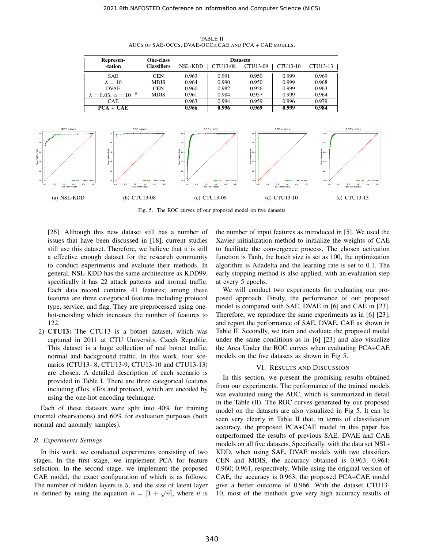

TABLE II AUCS OF SAE-OCCS, DVAE-OCCS,CAE AND PCA + CAE MODELS.

**Datasets** 

CEN | 0.963 | 0.991 | 0.950 | 0.999 | 0.969 MDIS | 0.964 | 0.990 | 0.950 | 0.999 | 0.968

CEN | 0.960 | 0.982 | 0.956 | 0.999 | 0.963 MDIS | 0.961 | 0.984 | 0.957 | 0.999 | 0.964

NSL-KDD | CTU13-08 | CTU13-09 | CTU13-10 | CTU13-13

Fig. 5. The ROC curves of our proposed model on five datasets

[26]. Although this new dataset still has a number of issues that have been discussed in [18], current studies still use this dataset. Therefore, we believe that it is still a effective enough dataset for the research community to conduct experiments and evaluate their methods. In general, NSL-KDD has the same architecture as KDD99, specifically it has 22 attack patterns and normal traffic. Each data record contains 41 features; among these features are three categorical features including protocol type, service, and flag. They are preprocessed using onehot-encoding which increases the number of features to 122.

Represen- -tation

> SAE  $\lambda = 10$

DVAE  $0.05, \alpha = 10^{-8}$ 

One-class **Classifiers** 

2) CTU13: The CTU13 is a botnet dataset, which was captured in 2011 at CTU University, Czech Republic. This dataset is a huge collection of real botnet traffic, normal and background traffic. In this work, four scenarios (CTU13- 8, CTU13-9, CTU13-10 and CTU13-13) are chosen. A detailed description of each scenario is provided in Table I. There are three categorical features including dTos, sTos and protocol, which are encoded by using the one-hot encoding technique.

Each of these datasets were split into 40% for training (normal observations) and 60% for evaluation purposes (both normal and anomaly samples).

## *B. Experiments Settings*

In this work, we conducted experiments consisting of two stages. In the first stage, we implement PCA for feature selection. In the second stage, we implement the proposed CAE model, the exact configuration of which is as follows. The number of hidden layers is 5, and the size of latent layer is defined by using the equation  $h = [1 + \sqrt{n}]$ , where *n* is the number of input features as introduced in [5]. We used the Xavier initialization method to initialize the weights of CAE to facilitate the convergence process. The chosen activation function is Tanh, the batch size is set as 100, the optimization algorithm is Adadelta and the learning rate is set to 0.1. The early stopping method is also applied, with an evaluation step at every 5 epochs.

We will conduct two experiments for evaluating our proposed approach. Firstly, the performance of our proposed model is compared with SAE, DVAE in [6] and CAE in [23]. Therefore, we reproduce the same experiments as in [6] [23], and report the performance of SAE, DVAE, CAE as shown in Table II. Secondly, we train and evaluate the proposed model under the same conditions as in [6] [23] and also visualize the Area Under the ROC curves when evaluating PCA+CAE models on the five datasets as shown in Fig 5.

## VI. RESULTS AND DISCUSSION

In this section, we present the promising results obtained from our experiments. The performance of the trained models was evaluated using the AUC, which is summarized in detail in the Table (II). The ROC curves generated by our proposed model on the datasets are also visualized in Fig 5. It can be seen very clearly in Table II that, in terms of classification accuracy, the proposed PCA+CAE model in this paper has outperformed the results of previous SAE, DVAE and CAE models on all five datasets. Specifically, with the data set NSL-KDD, when using SAE, DVAE models with two classifiers CEN and MDIS, the accuracy obtained is 0.963; 0.964; 0.960; 0.961, respectively. While using the original version of CAE, the accuracy is 0.963, the proposed PCA+CAE model give a better outcome of 0.966. With the dataset CTU13- 10, most of the methods give very high accuracy results of